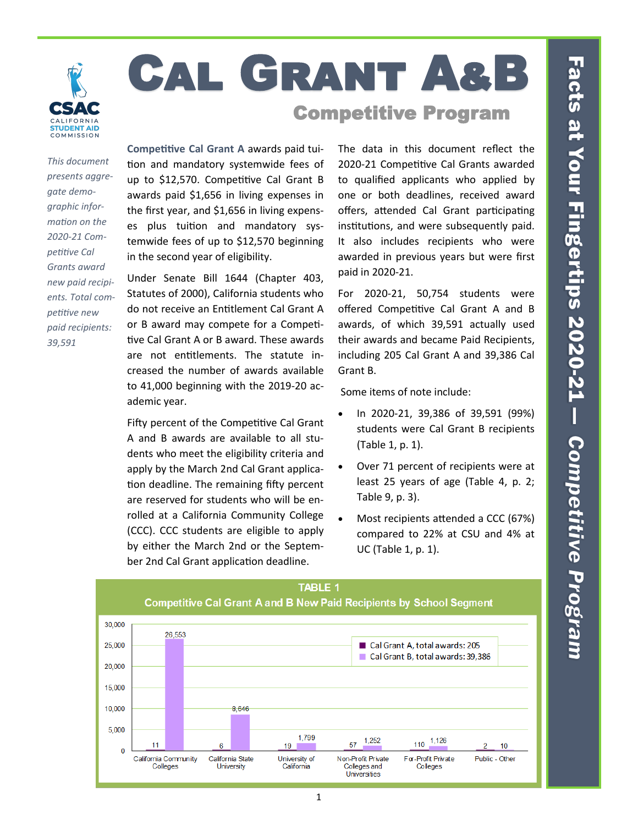

# Cal Grant A&B Competitive Program

*This document presents aggregate demographic information on the 2020-21 Competitive Cal Grants award new paid recipients. Total competitive new paid recipients: 39,591*

**Competitive Cal Grant A** awards paid tuition and mandatory systemwide fees of up to \$12,570. Competitive Cal Grant B awards paid \$1,656 in living expenses in the first year, and \$1,656 in living expenses plus tuition and mandatory systemwide fees of up to \$12,570 beginning in the second year of eligibility.

Under Senate Bill 1644 (Chapter 403, Statutes of 2000), California students who do not receive an Entitlement Cal Grant A or B award may compete for a Competitive Cal Grant A or B award. These awards are not entitlements. The statute increased the number of awards available to 41,000 beginning with the 2019-20 academic year.

Fifty percent of the Competitive Cal Grant A and B awards are available to all students who meet the eligibility criteria and apply by the March 2nd Cal Grant application deadline. The remaining fifty percent are reserved for students who will be enrolled at a California Community College (CCC). CCC students are eligible to apply by either the March 2nd or the September 2nd Cal Grant application deadline.

The data in this document reflect the 2020-21 Competitive Cal Grants awarded to qualified applicants who applied by one or both deadlines, received award offers, attended Cal Grant participating institutions, and were subsequently paid. It also includes recipients who were awarded in previous years but were first paid in 2020-21.

For 2020-21, 50,754 students were offered Competitive Cal Grant A and B awards, of which 39,591 actually used their awards and became Paid Recipients, including 205 Cal Grant A and 39,386 Cal Grant B.

Some items of note include:

- In 2020-21, 39,386 of 39,591 (99%) students were Cal Grant B recipients (Table 1, p. 1).
- Over 71 percent of recipients were at least 25 years of age (Table 4, p. 2; Table 9, p. 3).
- Most recipients attended a CCC (67%) compared to 22% at CSU and 4% at UC (Table 1, p. 1).

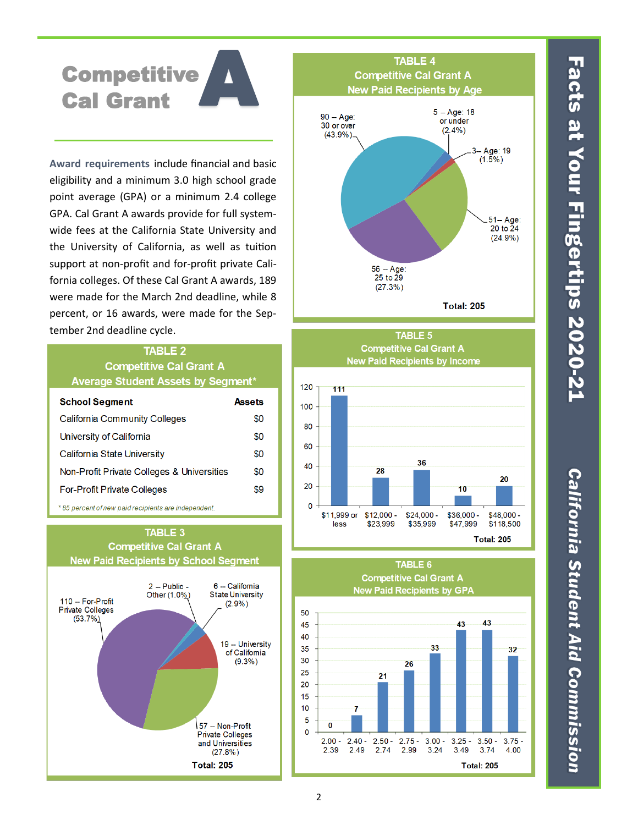Facts at Your Fingertips 2020-21

# **California Student Aid Commission**

# A **Competitive** Cal Grant

**Award requirements** include financial and basic eligibility and a minimum 3.0 high school grade point average (GPA) or a minimum 2.4 college GPA. Cal Grant A awards provide for full systemwide fees at the California State University and the University of California, as well as tuition support at non-profit and for-profit private California colleges. Of these Cal Grant A awards, 189 were made for the March 2nd deadline, while 8 percent, or 16 awards, were made for the September 2nd deadline cycle.

## **TABLE 2 Competitive Cal Grant A** Average Student Assets by Segment\*

| <b>School Segment</b>                      | Assets |
|--------------------------------------------|--------|
| <b>California Community Colleges</b>       | \$0    |
| University of California                   | \$0    |
| California State University                | \$0    |
| Non-Profit Private Colleges & Universities | \$0    |
| <b>For-Profit Private Colleges</b>         | \$9    |

\* 85 percent of new paid recipients are independent.









**Competitive Cal Grant A** 

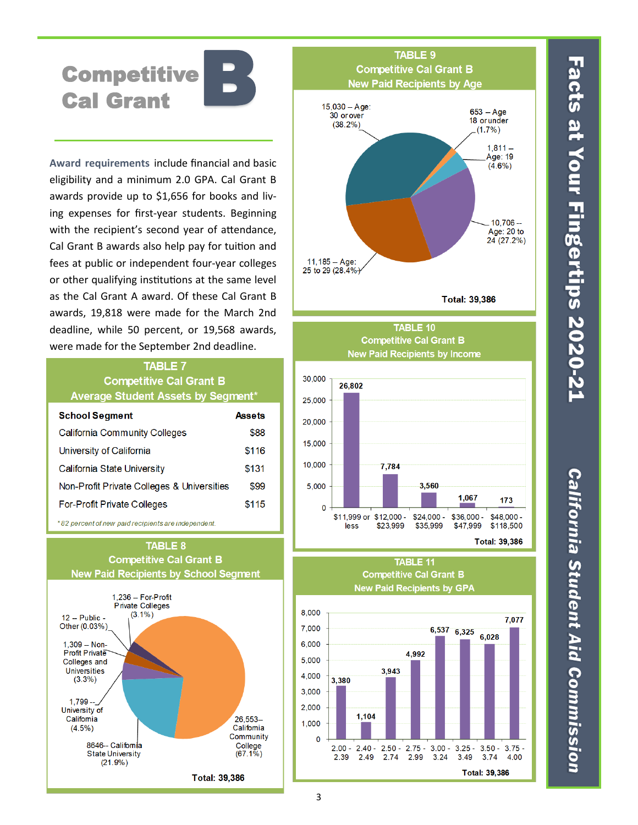B **Competitive** Cal Grant

**Award requirements** include financial and basic eligibility and a minimum 2.0 GPA. Cal Grant B awards provide up to \$1,656 for books and living expenses for first-year students. Beginning with the recipient's second year of attendance, Cal Grant B awards also help pay for tuition and fees at public or independent four-year colleges or other qualifying institutions at the same level as the Cal Grant A award. Of these Cal Grant B awards, 19,818 were made for the March 2nd deadline, while 50 percent, or 19,568 awards, were made for the September 2nd deadline.

### **TABLE 7 Competitive Cal Grant B** Average Student Assets by Segment\*

| <b>School Segment</b>                      | Assets |
|--------------------------------------------|--------|
| <b>California Community Colleges</b>       | \$88   |
| University of California                   | \$116  |
| California State University                | \$131  |
| Non-Profit Private Colleges & Universities | \$99   |
| <b>For-Profit Private Colleges</b>         | \$115  |

\*82 percent of new paid recipients are independent.